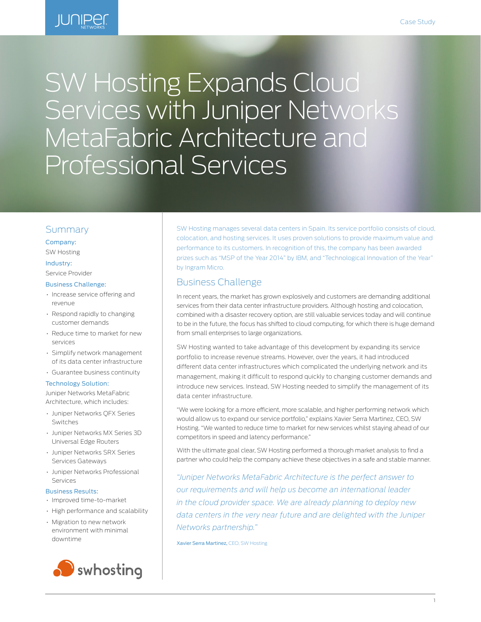

# SW Hosting Expands Cloud Services with Juniper Networks MetaFabric Architecture and Professional Services

## Summary

Company:

SW Hosting

## Industry:

Service Provider

## Business Challenge:

- Increase service offering and revenue
- Respond rapidly to changing customer demands
- Reduce time to market for new services
- Simplify network management of its data center infrastructure
- Guarantee business continuity

#### Technology Solution:

Juniper Networks MetaFabric Architecture, which includes:

- Juniper Networks QFX Series Switches
- Juniper Networks MX Series 3D Universal Edge Routers
- Juniper Networks SRX Series Services Gateways
- Juniper Networks Professional Services

## Business Results:

- Improved time-to-market
- High performance and scalability
- Migration to new network environment with minimal downtime



SW Hosting manages several data centers in Spain. Its service portfolio consists of cloud, colocation, and hosting services. It uses proven solutions to provide maximum value and performance to its customers. In recognition of this, the company has been awarded prizes such as "MSP of the Year 2014" by IBM, and "Technological Innovation of the Year" by Ingram Micro.

# Business Challenge

In recent years, the market has grown explosively and customers are demanding additional services from their data center infrastructure providers. Although hosting and colocation, combined with a disaster recovery option, are still valuable services today and will continue to be in the future, the focus has shifted to cloud computing, for which there is huge demand from small enterprises to large organizations.

SW Hosting wanted to take advantage of this development by expanding its service portfolio to increase revenue streams. However, over the years, it had introduced different data center infrastructures which complicated the underlying network and its management, making it difficult to respond quickly to changing customer demands and introduce new services. Instead, SW Hosting needed to simplify the management of its data center infrastructure.

"We were looking for a more efficient, more scalable, and higher performing network which would allow us to expand our service portfolio," explains Xavier Serra Martinez, CEO, SW Hosting. "We wanted to reduce time to market for new services whilst staying ahead of our competitors in speed and latency performance."

With the ultimate goal clear, SW Hosting performed a thorough market analysis to find a partner who could help the company achieve these objectives in a safe and stable manner.

*"Juniper Networks MetaFabric Architecture is the perfect answer to our requirements and will help us become an international leader in the cloud provider space. We are already planning to deploy new data centers in the very near future and are delighted with the Juniper Networks partnership."*

Xavier Serra Martinez, CEO, SW Hosting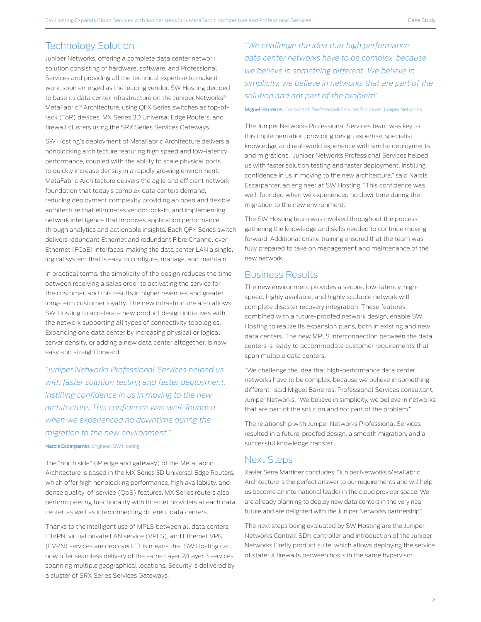# Technology Solution

Juniper Networks, offering a complete data center network solution consisting of hardware, software, and Professional Services and providing all the technical expertise to make it work, soon emerged as the leading vendor. SW Hosting decided to base its data center infrastructure on the Juniper Networks® MetaFabric™ Architecture, using QFX Series switches as top-ofrack (ToR) devices, MX Series 3D Universal Edge Routers, and firewall clusters using the SRX Series Services Gateways.

SW Hosting's deployment of MetaFabric Architecture delivers a nonblocking architecture featuring high speed and low-latency performance, coupled with the ability to scale physical ports to quickly increase density in a rapidly growing environment. MetaFabric Architecture delivers the agile and efficient network foundation that today's complex data centers demand, reducing deployment complexity, providing an open and flexible architecture that eliminates vendor lock-in, and implementing network intelligence that improves application performance through analytics and actionable insights. Each QFX Series switch delivers redundant Ethernet and redundant Fibre Channel over Ethernet (FCoE) interfaces, making the data center LAN a single, logical system that is easy to configure, manage, and maintain.

In practical terms, the simplicity of the design reduces the time between receiving a sales order to activating the service for the customer, and this results in higher revenues and greater long-term customer loyalty. The new infrastructure also allows SW Hosting to accelerate new product design initiatives with the network supporting all types of connectivity topologies. Expanding one data center by increasing physical or logical server density, or adding a new data center altogether, is now easy and straightforward.

*"Juniper Networks Professional Services helped us with faster solution testing and faster deployment, instilling confidence in us in moving to the new architecture. This confidence was well-founded when we experienced no downtime during the migration to the new environment."*

## Narcis Escarpanter, Engineer, SW Hosting

The "north side" (IP edge and gateway) of the MetaFabric Architecture is based in the MX Series 3D Universal Edge Routers, which offer high nonblocking performance, high availability, and dense quality-of-service (QoS) features. MX Series routers also perform peering functionality with Internet providers at each data center, as well as interconnecting different data centers.

Thanks to the intelligent use of MPLS between all data centers, L3VPN, virtual private LAN service (VPLS), and Ethernet VPN (EVPN) services are deployed. This means that SW Hosting can now offer seamless delivery of the same Layer 2/Layer 3 services spanning multiple geographical locations. Security is delivered by a cluster of SRX Series Services Gateways.

*"We challenge the idea that high performance data center networks have to be complex, because we believe in something different. We believe in simplicity, we believe in networks that are part of the solution and not part of the problem"*

#### Miguel Barreiros, Consultant, Professional Services Solutions, Juniper Networks

The Juniper Networks Professional Services team was key to this implementation, providing design expertise, specialist knowledge, and real-world experience with similar deployments and migrations. "Juniper Networks Professional Services helped us with faster solution testing and faster deployment, instilling confidence in us in moving to the new architecture," said Narcis Escarpanter, an engineer at SW Hosting. "This confidence was well-founded when we experienced no downtime during the migration to the new environment."

The SW Hosting team was involved throughout the process, gathering the knowledge and skills needed to continue moving forward. Additional onsite training ensured that the team was fully prepared to take on management and maintenance of the new network.

## Business Results

The new environment provides a secure, low-latency, highspeed, highly available, and highly scalable network with complete disaster recovery integration. These features, combined with a future-proofed network design, enable SW Hosting to realize its expansion plans, both in existing and new data centers. The new MPLS interconnection between the data centers is ready to accommodate customer requirements that span multiple data centers.

"We challenge the idea that high-performance data center networks have to be complex, because we believe in something different," said Miguel Barreiros, Professional Services consultant, Juniper Networks. "We believe in simplicity, we believe in networks that are part of the solution and not part of the problem."

The relationship with Juniper Networks Professional Services resulted in a future-proofed design, a smooth migration, and a successful knowledge transfer.

## Next Steps

Xavier Serra Martinez concludes: "Juniper Networks MetaFabric Architecture is the perfect answer to our requirements and will help us become an international leader in the cloud provider space. We are already planning to deploy new data centers in the very near future and are delighted with the Juniper Networks partnership."

The next steps being evaluated by SW Hosting are the Juniper Networks Contrail SDN controller and introduction of the Juniper Networks Firefly product suite, which allows deploying the service of stateful firewalls between hosts in the same hypervisor.